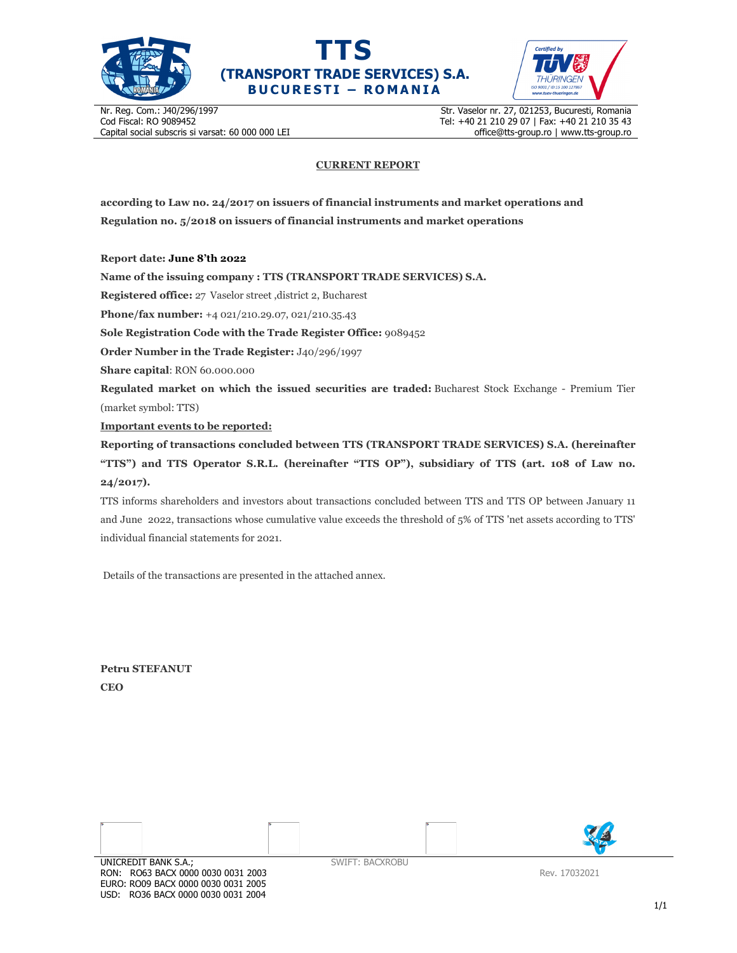





Nr. Reg. Com.: J40/296/1997 Cod Fiscal: RO 9089452 Capital social subscris si varsat: 60 000 000 LEI Str. Vaselor nr. 27, 021253, Bucuresti, Romania Tel: +40 21 210 29 07 | Fax: +40 21 210 35 43 office@tts-group.ro | www.tts-group.ro

## **CURRENT REPORT**

**according to Law no. 24/2017 on issuers of financial instruments and market operations and Regulation no. 5/2018 on issuers of financial instruments and market operations** 

**Report date: June 8'th 2022**

**Name of the issuing company : TTS (TRANSPORT TRADE SERVICES) S.A.**

**Registered office:** 27 Vaselor street ,district 2, Bucharest

**Phone/fax number:** +4 021/210.29.07, 021/210.35.43

**Sole Registration Code with the Trade Register Office:** 9089452

**Order Number in the Trade Register:** J40/296/1997

**Share capital**: RON 60.000.000

**Regulated market on which the issued securities are traded:** Bucharest Stock Exchange - Premium Tier (market symbol: TTS)

**Important events to be reported:**

**Reporting of transactions concluded between TTS (TRANSPORT TRADE SERVICES) S.A. (hereinafter "TTS") and TTS Operator S.R.L. (hereinafter "TTS OP"), subsidiary of TTS (art. 108 of Law no. 24/2017).** 

TTS informs shareholders and investors about transactions concluded between TTS and TTS OP between January 11 and June 2022, transactions whose cumulative value exceeds the threshold of 5% of TTS 'net assets according to TTS' individual financial statements for 2021.

Details of the transactions are presented in the attached annex.

**Petru STEFANUT CEO** 



RON: RO63 BACX 0000 0030 0031 2003 EURO: RO09 BACX 0000 0030 0031 2005 USD: RO36 BACX 0000 0030 0031 2004

Rev. 17032021